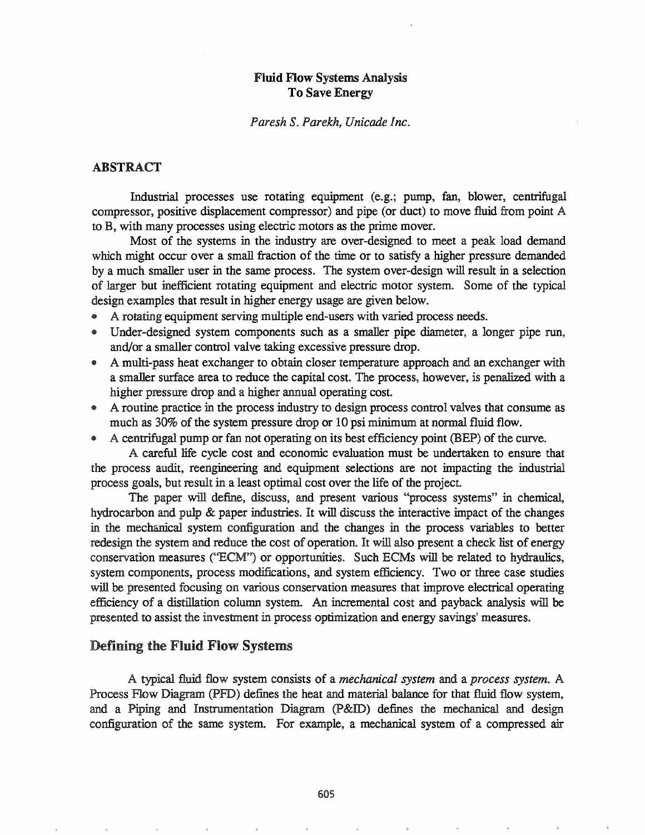## Fluid Flow Systems Analysis To Save Energy

#### *Paresh* S. *Parekh, Unicade Inc.*

### ABSTRACT

Industrial processes use rotating equipment (e.g.; pump, fan, blower, centrifugal compressor, positive displacement compressor) and pipe (or duct) to move fluid from point A to B, with many processes using electric motors as the prime mover.

Most of the systems in the industry are over-designed to meet a peak load demand which might occur over a small fraction of the time or to satisfy a higher pressure demanded by a much smaller user in the same process.. The system over-design will result in a selection of larger but inefficient rotating equipment and electric motor system. Some of the typical design examples that result in higher energy usage are given below..

- .. A rotating equipment serving multiple end-users with varied process needs.
- Under-designed system components such as a smaller pipe diameter, a longer pipe run, and/or a smaller control valve taking excessive pressure drop.
- e A multi-pass heat exchanger to obtain closer temperature approach and an exchanger with a smaller surface area to reduce the capital cost. The process, however, is penalized with a higher pressure drop and a higher annual operating cost.
- A routine practice in the process industry to design process control valves that consume as much as 30% of the system pressure drop or 10 psi minimum at normal fluid flow.
- $\bullet$  A centrifugal pump or fan not operating on its best efficiency point (BEP) of the curve.

A careful life cycle cost and economic evaluation must be undertaken to ensure that the process audit, reengineering and equipment selections are not impacting the industrial process goals, but result in a least optimal cost over the life of the project.

The paper will define, discuss, and present various ''process systems" in chemical, hydrocarbon and pulp & paper industries. It will discuss the interactive impact of the changes in the mechanical system configuration and the changes in the process variables to better redesign the system and reduce the cost of operation. It will also present a check list of energy conservation measures ("ECM") or opportunities. Such ECMs will be related to hydraulics, system components, process modifications, and system efficiency.. Two or three case studies will be presented focusing on various conservation measures that improve electrical operating efficiency of a distillation column system.. An incremental cost and payback analysis will be presented to assist the investment in process optimization and energy savings' measures.

#### Defining the Fluid Flow Systems

typical fluid flow system consists of a *mechanical system* and a *process system.* A Process Flow Diagram (PFD) defines the heat and material balance for that fluid flow system, and a Piping and Instrumentation Diagram  $(P&ID)$  defines the mechanical and design configuration of the same system.. For example, a mechanical system of a compressed air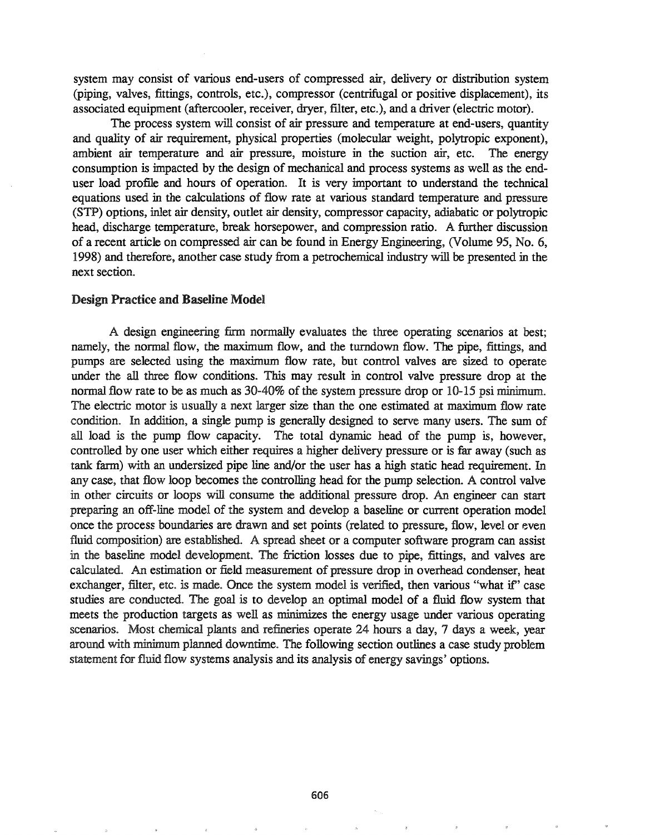system may consist of various end-users of compressed air, delivery or distribution system (piping, valves, fittings, controls, etc.), compressor (centrifugal or positive displacement), its associated equipment (aftercooler, receiver, dryer, filter, etc.), and a driver (electric motor).

The process system will consist of air pressure and temperature at end-users, quantity and quality of air requirement, physical properties (molecular weight, polytropic exponent), ambient air temperature and air pressure, moisture in the suction air, etc. The energy consumption is impacted by the design of mechanical and process systems as well as the enduser load profile and hours of operation. It is very important to understand the technical equations used in the calculations of flow rate at various standard temperature and pressure (STP) options, inlet air density, outlet air density, compressor capacity, adiabatic or polytropic head, discharge temperature, break horsepower, and compression ratio. A further discussion of a recent article on compressed air can be found in Energy Engineering, (Volume 95, No.6, 1998) and therefore, another case study from a petrochemical industry will be presented in the next section.

#### Design Practice and Baseline Model

A design engineering firm nonnally evaluates the three operating scenarios at best; namely, the normal flow, the maximum flow, and the turndown flow. The pipe, fittings, and pumps are selected using the maximum flow rate, but control valves are sized to operate under the all three flow conditions. This may result in control valve pressure drop at the normal flow rate to be as much as  $30-40\%$  of the system pressure drop or  $10-15$  psi minimum. The electric motor is usually a next larger size than the one estimated at maximum flow rate condition. In addition, a single pump is generally designed to serve many users. The sum of all load is the pump flow capacity. The total dynamic head of the pump is, however, controlled by one user which either requires a higher delivery pressure or is far away (such as tank farm) with an undersized pipe line and/or the user has a high static head requirement. In any case, that flow loop becomes the controlling head for the pump selection. A control valve in other circuits or loops will consume the additional pressure drop. An engineer can start preparing an off-line model of the system and develop a baseline or current operation model once the process boundaries are drawn and set points (related to pressure, flow, level or even fluid composition) are established. A spread sheet or a computer software program can assist in the baseline model development. The friction losses due to pipe, fittings, and valves are calculated. An estimation or field measurement of pressure drop in overhead condenser, heat exchanger, filter, etc. is made. Once the system model is verified, then various "what if" case studies are conducted. The goal is to develop an optimal model of a fluid flow system that meets the production targets as well as minimizes the energy usage under various operating scenarios.. Most chemical plants and refineries operate 24 hours a day, 7 days a week, year around with minimum planned downtime. The following section outlines a case study problem statement for fluid flow systems analysis and its analysis of energy savings' options.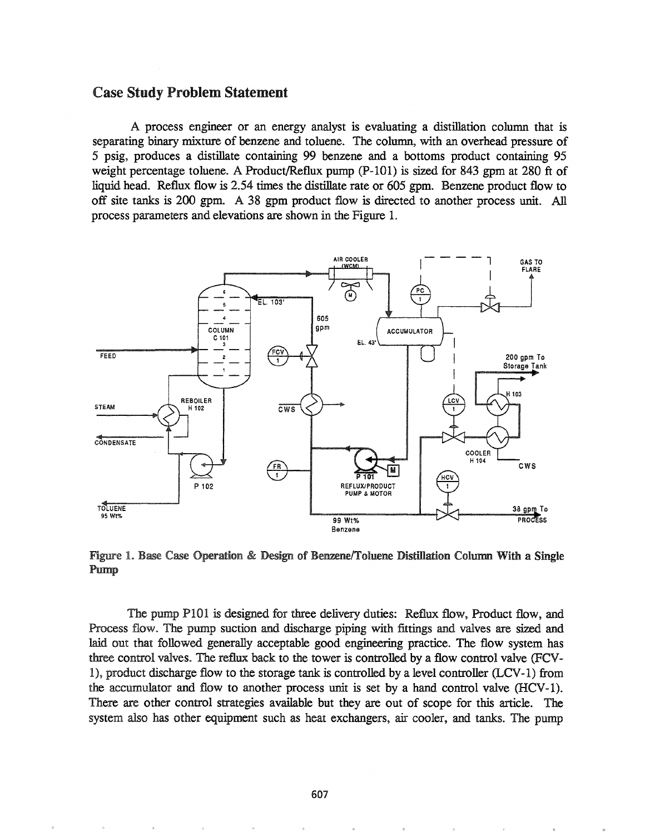#### Case Study Problem Statement

A process engineer or an energy analyst is evaluating a distillation column that is separating binary mixture of benzene and toluene. The column, with an overhead pressure of 5 psig, produces a distillate containing 99 benzene and a bottoms product containing 95 weight percentage toluene. A Product/Reflux pump (P-IOl) is sized for 843 gpm at 280 ft of liquid head. Reflux flow is 2.54 times the distillate rate or 605 gpm. Benzene product flow to off site tanks is 200 gpm. A 38 gpm product flow is directed to another process unit. All process parameters and elevations are shown in the Figure 1.



Figure 1. Base Case Operation & Design of Benzene/Toluene Distillation Column With a Single Pump

The pump P101 is designed for three delivery duties: Reflux flow, Product flow, and Process flow.. The pump suction and discharge piping with fittings and valves are sized and laid out that followed generally acceptable good engineering practice. The flow system has three control valves. The reflux back to the tower is controlled by a flow control valve (FCV-1), product discharge flow to the storage tank is controlled by a level controller (LCV-1) from the accumulator and flow to another process unit is set by a hand control valve (HCV-1). There are other control strategies available but they are out of scope for this article. The system also has other equipment such as heat exchangers, air cooler, and tanks. The pump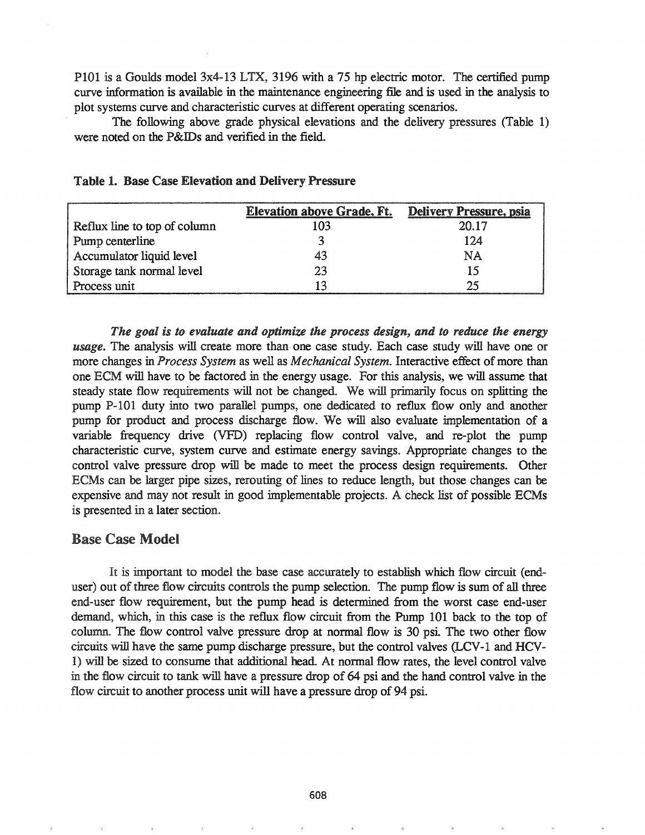P101 is a Goulds model 3x4-13 LTX, 3196 with a 75 hp electric motor. The certified pump curve information is available in the maintenance engineering file and is used in the analysis to plot systems curve and characteristic curves at different operating scenarios.

The following above grade physical elevations and the delivery pressures (Table 1) were noted on the P&IDs and verified in the field.

|                              | <b>Elevation above Grade, Ft.</b> | Delivery Pressure, psia |
|------------------------------|-----------------------------------|-------------------------|
| Reflux line to top of column | 103                               | 20.17                   |
| Pump centerline              |                                   | 124                     |
| Accumulator liquid level     | 43                                | NA                      |
| Storage tank normal level    | 23                                | 15                      |
| Process unit                 |                                   | つぐ                      |

|  |  |  | <b>Table 1. Base Case Elevation and Delivery Pressure</b> |  |
|--|--|--|-----------------------------------------------------------|--|
|--|--|--|-----------------------------------------------------------|--|

*The goal is to evaluate and optimize the process design, and to reduce the energy* usage. The analysis will create more than one case study. Each case study will have one or more changes in *Process System* as well as *Mechanical System*. Interactive effect of more than one ECM will have to be factored in the energy usage.. For this analysis, we will assume that steady state flow requirements will not be changed.. We will primarily focus on splitting the pump P-IOI duty into two parallel pumps, one dedicated to reflux flow only and another pump for product and process discharge flow. We will also evaluate implementation of a variable frequency drive (VFD) replacing flow control valve, and re-plot the pump characteristic curve, system curve and estimate energy savings.. Appropriate changes to the control valve pressure drop will be made to meet the process design requirements. Other ECMs can be larger pipe sizes, rerouting of lines to reduce length, but those changes can be expensive and may not result in good implementable projects. A check list of possible ECMs is presented in a later section..

# **Base Case Model**

It is important to model the base case accurately to establish which flow circuit (enduser) out of three flow circuits controls the pump selection. The pump flow is sum of all three end-user flow requirement, but the pump head is determined from the worst case end-user demand, which, in this case is the reflux flow circuit from the Pump 101 back to the top of column. The flow control valve pressure drop at normal flow is 30 psi. The two other flow circuits will have the same pump discharge pressure, but the control valves (LCV-1 and HCV-1) be sized to consume that additional head.. At normal flow rates, the level control valve in the flow circuit to tank will have a pressure drop of 64 psi and the hand control valve in the flow circuit to another process unit will have a pressure drop of 94 psi.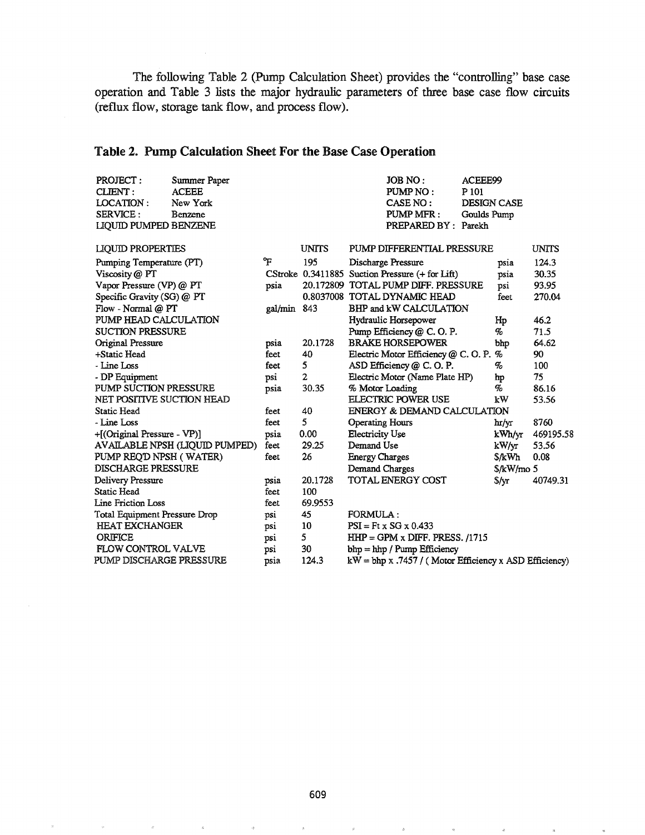The following Table 2 (Pump Calculation Sheet) provides the "controlling" base case operation and Table 3 lists the major hydraulic parameters of three base case flow circuits (reflux flow, storage tank flow, and process flow).

# Table 2. Pump Calculation Sheet For the Base Case Operation

| PROJECT:<br>CLIENT:<br><b>LOCATION:</b><br>SERVICE :<br><b>LIQUID PUMPED BENZENE</b> | Summer Paper<br><b>ACEEE</b><br>New York<br>Benzene |         |              |                        | JOB NO:<br>PUMP NO:<br>CASE NO:<br>PUMP MFR:<br>PREPARED BY: Parekh | ACEEE99<br>P 101<br><b>DESIGN CASE</b><br>Goulds Pump |               |              |
|--------------------------------------------------------------------------------------|-----------------------------------------------------|---------|--------------|------------------------|---------------------------------------------------------------------|-------------------------------------------------------|---------------|--------------|
| <b>LIQUID PROPERTIES</b>                                                             |                                                     |         | <b>UNITS</b> |                        | PUMP DIFFERENTIAL PRESSURE                                          |                                                       |               | <b>UNITS</b> |
| Pumping Temperature (PT)                                                             |                                                     | የ       | 195          | Discharge Pressure     |                                                                     |                                                       | psia          | 124.3        |
| Viscosity @ PT                                                                       |                                                     |         |              |                        | CStroke 0.3411885 Suction Pressure (+ for Lift)                     |                                                       | psia          | 30.35        |
| Vapor Pressure (VP) @ PT                                                             |                                                     | psia    |              |                        | 20.172809 TOTAL PUMP DIFF. PRESSURE                                 |                                                       | psi           | 93.95        |
| Specific Gravity (SG) @ PT                                                           |                                                     |         |              |                        | 0.8037008 TOTAL DYNAMIC HEAD                                        |                                                       | feet          | 270.04       |
| Flow - Normal @ PT                                                                   |                                                     | gal/min | 843          |                        | BHP and kW CALCULATION                                              |                                                       |               |              |
| PUMP HEAD CALCULATION                                                                |                                                     |         |              |                        | Hydraulic Horsepower                                                |                                                       | Hp            | 46.2         |
| <b>SUCTION PRESSURE</b>                                                              |                                                     |         |              |                        | Pump Efficiency @ C.O.P.                                            |                                                       | %             | 71.5         |
| Original Pressure                                                                    |                                                     | psia    | 20.1728      |                        | <b>BRAKE HORSEPOWER</b>                                             |                                                       | bhp           | 64.62        |
| +Static Head                                                                         |                                                     | feet    | 40           |                        | Electric Motor Efficiency @ C.O.P.                                  |                                                       | %             | 90           |
| - Line Loss                                                                          |                                                     | feet    | 5            |                        | ASD Efficiency @ C.O.P.                                             |                                                       | %             | 100          |
| - DP Equipment                                                                       |                                                     | psi     | $\mathbf{2}$ |                        | Electric Motor (Name Plate HP)                                      |                                                       | hp            | 75           |
| <b>PUMP SUCTION PRESSURE</b>                                                         |                                                     | psia    | 30.35        | % Motor Loading        |                                                                     |                                                       | %             | 86.16        |
| NET POSITIVE SUCTION HEAD                                                            |                                                     |         |              |                        | <b>ELECTRIC POWER USE</b>                                           |                                                       | kW            | 53.56        |
| Static Head                                                                          |                                                     | feet    | 40           |                        | ENERGY & DEMAND CALCULATION                                         |                                                       |               |              |
| - Line Loss                                                                          |                                                     | feet    | 5            | <b>Operating Hours</b> |                                                                     |                                                       | hr/yr         | 8760         |
| +[(Original Pressure - VP)]                                                          |                                                     | psia    | 0.00         | <b>Electricity Use</b> |                                                                     |                                                       | kWh/yr        | 469195.58    |
|                                                                                      | AVAILABLE NPSH (LIQUID PUMPED)                      | feet    | 29.25        | Demand Use             |                                                                     |                                                       | kW/yr         | 53.56        |
| PUMP REQ'D NPSH (WATER)                                                              |                                                     | feet    | 26           | <b>Energy Charges</b>  |                                                                     |                                                       | \$/kWh        | 0.08         |
| <b>DISCHARGE PRESSURE</b>                                                            |                                                     |         |              | Demand Charges         |                                                                     |                                                       | \$/kW/mo 5    |              |
| Delivery Pressure                                                                    |                                                     | psia    | 20.1728      |                        | TOTAL ENERGY COST                                                   |                                                       | $\sqrt[6]{x}$ | 40749.31     |
| Static Head                                                                          |                                                     | feet    | 100          |                        |                                                                     |                                                       |               |              |
| Line Friction Loss                                                                   |                                                     | feet    | 69.9553      |                        |                                                                     |                                                       |               |              |
| <b>Total Equipment Pressure Drop</b>                                                 |                                                     | psi     | 45           | FORMULA:               |                                                                     |                                                       |               |              |
| <b>HEAT EXCHANGER</b>                                                                |                                                     | psi     | 10           |                        | $PSI = Ft \times SG \times 0.433$                                   |                                                       |               |              |
| <b>ORIFICE</b>                                                                       |                                                     | psi     | 5            |                        | $HHP = GPM \times DIFF$ , PRESS, /1715                              |                                                       |               |              |
| <b>FLOW CONTROL VALVE</b>                                                            |                                                     | psi     | 30           |                        | bhp = hhp / Pump Efficiency                                         |                                                       |               |              |
| PUMP DISCHARGE PRESSURE                                                              |                                                     | psia    | 124.3        |                        | $kW = bhp x .7457$ / (Motor Efficiency x ASD Efficiency)            |                                                       |               |              |

 $\bar{S}$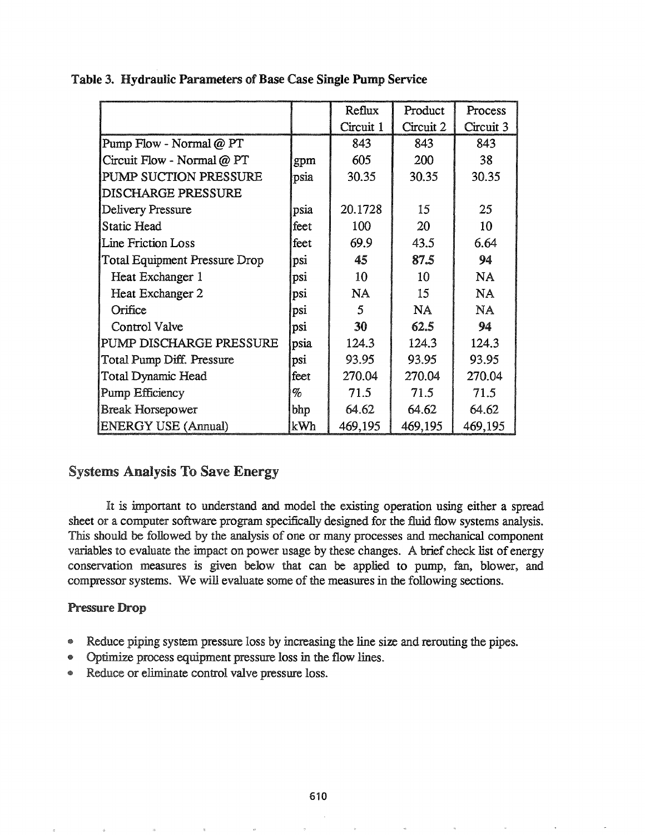|                                      |      | Reflux    | Product   | Process   |
|--------------------------------------|------|-----------|-----------|-----------|
|                                      |      | Circuit 1 | Circuit 2 | Circuit 3 |
| Pump Flow - Normal @ PT              |      | 843       | 843       | 843       |
| Circuit Flow - Normal @ PT           | gpm  | 605       | 200       | 38        |
| PUMP SUCTION PRESSURE                | psia | 30.35     | 30.35     | 30.35     |
| <b>DISCHARGE PRESSURE</b>            |      |           |           |           |
| Delivery Pressure                    | psia | 20.1728   | 15        | 25        |
| Static Head                          | feet | 100       | 20        | 10        |
| Line Friction Loss                   | feet | 69.9      | 43.5      | 6.64      |
| <b>Total Equipment Pressure Drop</b> | psi  | 45        | 87.5      | 94        |
| Heat Exchanger 1                     | psi  | 10        | 10        | <b>NA</b> |
| Heat Exchanger 2                     | psi  | NA        | 15        | NA        |
| Orifice                              | psi  | 5         | <b>NA</b> | NA        |
| Control Valve                        | psi  | 30        | 62.5      | 94        |
| PUMP DISCHARGE PRESSURE              | psia | 124.3     | 124.3     | 124.3     |
| Total Pump Diff. Pressure            | psi  | 93.95     | 93.95     | 93.95     |
| Total Dynamic Head                   | feet | 270.04    | 270.04    | 270.04    |
| Pump Efficiency                      | %    | 71.5      | 71.5      | 71.5      |
| <b>Break Horsepower</b>              | bhp  | 64.62     | 64.62     | 64.62     |
| <b>ENERGY USE (Annual)</b>           | kWh  | 469,195   | 469,195   | 469,195   |

## Table 3. Hydraulic Parameters of Base Case Single Pump Service

# Systems Analysis To Save Energy

It is important to understand and model the existing operation using either a spread sheet or a computer software program specifically designed for the fluid flow systems analysis.. This should be followed by the analysis of one or many processes and mechanical component variables to evaluate the impact on power usage by these changes. A brief check list of energy conservation measures is given below that can be applied to pump, fan, blower, and compressor systems. We will evaluate some of the measures in the following sections.

### Pressure Drop

- @ Reduce piping system pressure loss by increasing the line size and rerouting the pipes~
- 4& Optimize process equipment pressure loss in the flow lines.
- Reduce or eliminate control valve pressure loss.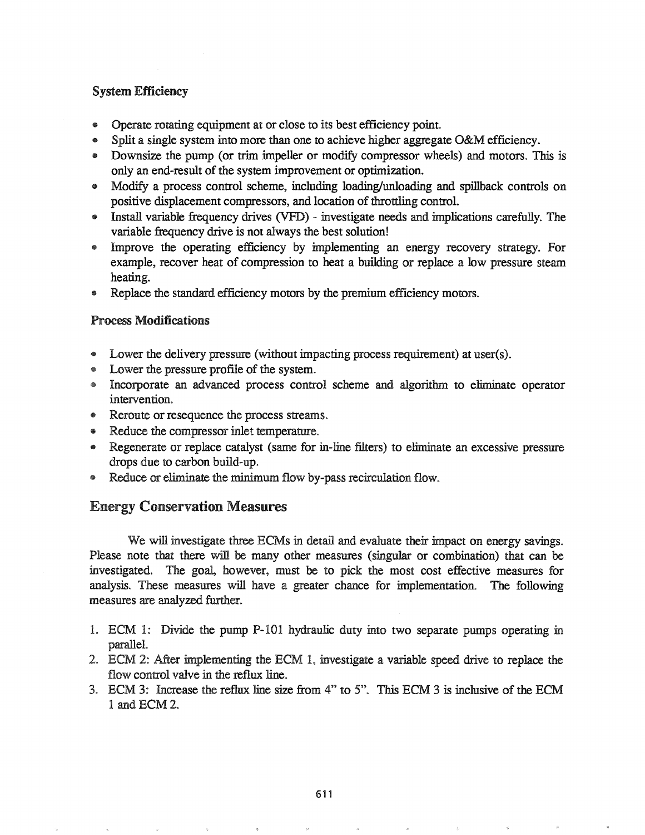# System Efficiency

- @ Operate rotating equipment at or close to its best efficiency point.
- e Split a single system into more than one to achieve higher aggregate O&M efficiency.
- Downsize the pump (or trim impeller or modify compressor wheels) and motors. This is only an end-result of the system improvement or optimization.
- Modify a process control scheme, including loading/unloading and spillback controls on positive displacement compressors, and location of throttling control.
- e Install variable frequency drives (VFD) investigate needs and implications carefully. The variable frequency drive is not always the best solution!
- Improve the operating efficiency by implementing an energy recovery strategy. For example, recover heat of compression to heat a building or replace a low pressure steam heating.
- Replace the standard efficiency motors by the premium efficiency motors.

## Process Modifications

- Lower the delivery pressure (without impacting process requirement) at user(s).
- Lower the pressure profile of the system.
- Incorporate an advanced process control scheme and algorithm to eliminate operator intervention.
- Reroute or resequence the process streams.
- Reduce the compressor inlet temperature.
- Regenerate or replace catalyst (same for in-line filters) to eliminate an excessive pressure drops due to carbon build-up.
- Reduce or eliminate the minimum flow by-pass recirculation flow.

# Energy Conservation Measures

We will investigate three ECMs in detail and evaluate their impact on energy savings. Please note that there will be many other measures (singular or combination) that can be investigated. The goal, however, must be to pick the most cost effective measures for analysis. These measures will have a greater chance for implementation. The following measures are analyzed further..

- 1.. ECM 1: Divide the pump P-IOI hydraulic duty into two separate pumps operating in parallel..
- 2. ECM 2: After implementing the ECM 1, investigate a variable speed drive to replace the flow control valve in the reflux line.
- 3. ECM 3: Increase the reflux line size from 4" to 5". This ECM 3 is inclusive of the ECM 1 and ECM 2..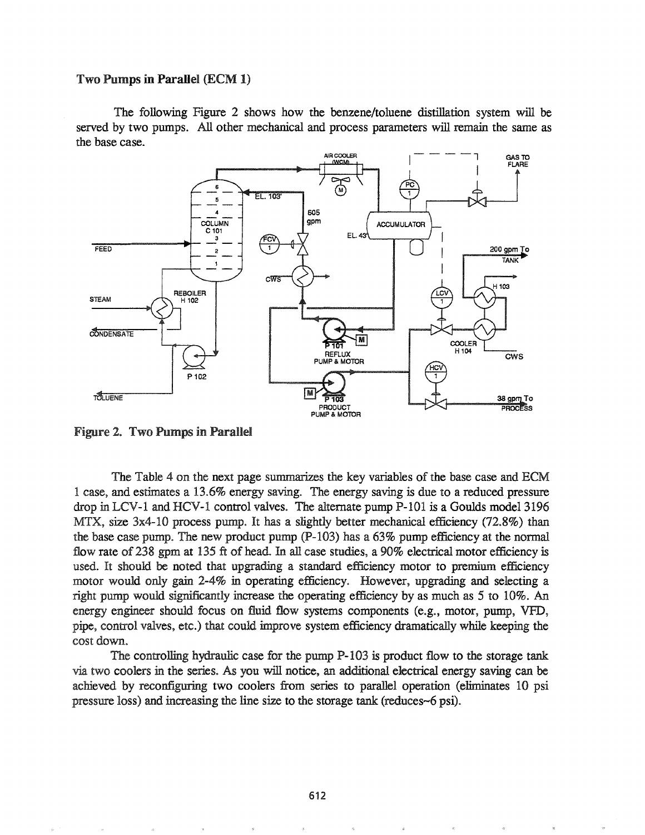#### Two Pumps in Parallel (ECM 1)

The following Figure 2 shows how the benzene/toluene distillation system will be served by two pumps. All other mechanical and process parameters will remain the same as the base case.



Figure 2. Two Pumps in Parallel

The Table 4 on the next page summarizes the key variables of the base case and ECM 1 case, and estimates a 13.6% energy saving. The energy saving is due to a reduced pressure drop in LCV-1 and HCV-1 control valves. The alternate pump P-101 is a Goulds model 3196 MTX, size  $3x4-10$  process pump. It has a slightly better mechanical efficiency (72.8%) than the base case pump. The new product pump  $(P-103)$  has a 63% pump efficiency at the normal flow rate of 238 gpm at 135 ft of head. In all case studies, a 90% electrical motor efficiency is used. It should be noted that upgrading a standard efficiency motor to premium efficiency motor would only gain 2-4% in operating efficiency.. However, upgrading and selecting a right pump would significantly increase the operating efficiency by as much as 5 to 10%. An energy engineer should focus on fluid flow systems components (e.g., motor, pump, VFD, pipe, control valves, etc.) that could improve system efficiency dramatically while keeping the cost down.

The controlling hydraulic case for the pump P-I03 is product flow to the storage tank two coolers in the series.. As you will notice, an additional electrical energy saving can be achieved by reconfiguring two coolers from series to parallel operation (eliminates 10 psi pressure loss) and increasing the line size to the storage tank (reduces-6 psi).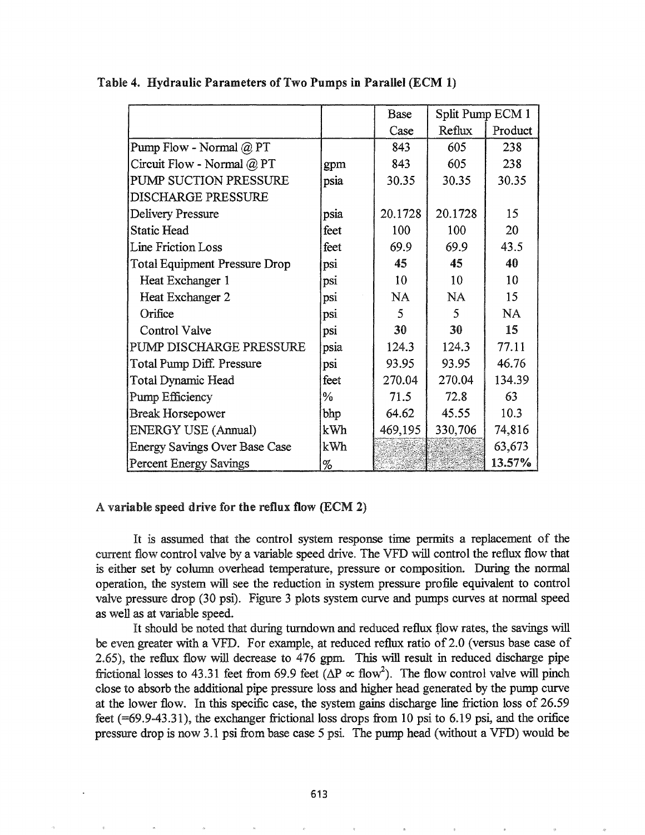|                                      |               | Base    | Split Pump ECM 1 |           |
|--------------------------------------|---------------|---------|------------------|-----------|
|                                      |               | Case    | Reflux           | Product   |
| Pump Flow - Normal @ PT              |               | 843     | 605              | 238       |
| Circuit Flow - Normal @ PT           | gpm           | 843     | 605              | 238       |
| PUMP SUCTION PRESSURE                | psia          | 30.35   | 30.35            | 30.35     |
| DISCHARGE PRESSURE                   |               |         |                  |           |
| Delivery Pressure                    | psia          | 20.1728 | 20.1728          | 15        |
| <b>Static Head</b>                   | feet          | 100     | 100              | 20        |
| <b>Line Friction Loss</b>            | feet          | 69.9    | 69.9             | 43.5      |
| <b>Total Equipment Pressure Drop</b> | psi           | 45      | 45               | 40        |
| Heat Exchanger 1                     | psi           | 10      | 10               | 10        |
| Heat Exchanger 2                     | psi           | NA      | <b>NA</b>        | 15        |
| Orifice                              | psi           | 5       | 5                | <b>NA</b> |
| <b>Control Valve</b>                 | psi           | 30      | 30               | 15        |
| PUMP DISCHARGE PRESSURE              | psia          | 124.3   | 124.3            | 77.11     |
| Total Pump Diff. Pressure            | psi           | 93.95   | 93.95            | 46.76     |
| Total Dynamic Head                   | feet          | 270.04  | 270.04           | 134.39    |
| Pump Efficiency                      | $\frac{0}{0}$ | 71.5    | 72.8             | 63        |
| <b>Break Horsepower</b>              | bhp           | 64.62   | 45.55            | 10.3      |
| <b>ENERGY USE (Annual)</b>           | kWh           | 469,195 | 330,706          | 74,816    |
| <b>Energy Savings Over Base Case</b> | kWh           |         |                  | 63,673    |
| <b>Percent Energy Savings</b>        | %             |         |                  | 13.57%    |

### Table 4. Hydraulic Parameters of Two Pumps in Parallel (ECM 1)

### A variable speed drive for the reflux flow (ECM 2)

It is assumed that the control system response time permits a replacement of the current flow control valve by a variable speed drive. The VFD will control the reflux flow that is either set by column overhead temperature, pressure or composition. During the normal operation, the system will see duction in system pressure profile equivalent to control valve pressure drop (30 psi). Figure 3 plots system curve and pumps curves at normal speed as well as at variable speed..

It should be noted that during turndown and reduced reflux flow rates, the savings will be even greater with a VFD. For example, at reduced reflux ratio of 2.0 (versus base case of  $2.65$ ), the reflux flow will decrease to  $476$  gpm. This will result in reduced discharge pipe frictional losses to 43.31 feet from 69.9 feet ( $\Delta P \propto$  flow<sup>2</sup>). The flow control valve will pinch close to absorb the additional pipe pressure loss and higher head generated by the pump curve at the lower flow.. In this specific case, the system gains discharge line friction loss of 26.59 feet  $(=69.9-43.31)$ , the exchanger frictional loss drops from 10 psi to 6.19 psi, and the orifice pressure drop is now 3.1 psi from base case 5 psi. The pump head (without a VFD) would be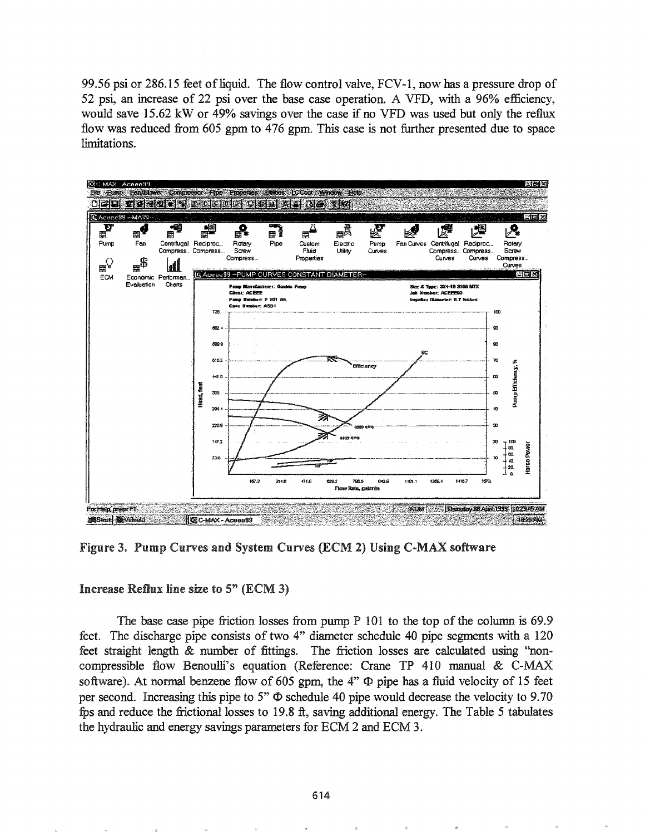99.56 psi or 286.15 feet of liquid. The flow control valve,  $FCV-1$ , now has a pressure drop of 52 psi, an increase of 22 psi over the base case operation. A VFD, with a 96% efficiency, would save 15.62 kW or 49% savings over the case if no VFD was used but only the reflux flow was reduced from 605 gpm to 476 gpm. This case is not further presented due to space limitations.



Figure 3. Pump Curves and System Curves (ECM 2) Using C-MAX software

### Increase Reflux line size to  $5$ " (ECM 3)

The base case pipe friction losses from pump  $P$  101 to the top of the column is 69.9 feet. The discharge pipe consists of two 4" diameter schedule 40 pipe segments with a 120 feet straight length & number of fittings. The friction losses are calculated using "noncompressible flow Benoulli's equation (Reference: Crane TP 410 manual & C-MAX software). At normal benzene flow of 605 gpm, the  $4$ "  $\Phi$  pipe has a fluid velocity of 15 feet per second. Increasing this pipe to 5"  $\Phi$  schedule 40 pipe would decrease the velocity to 9.70 fps and reduce the frictional losses to 1998 ft, saving additional energy. The Table 5 tabulates the hydraulic and energy savings parameters for ECM 2 and ECM 3.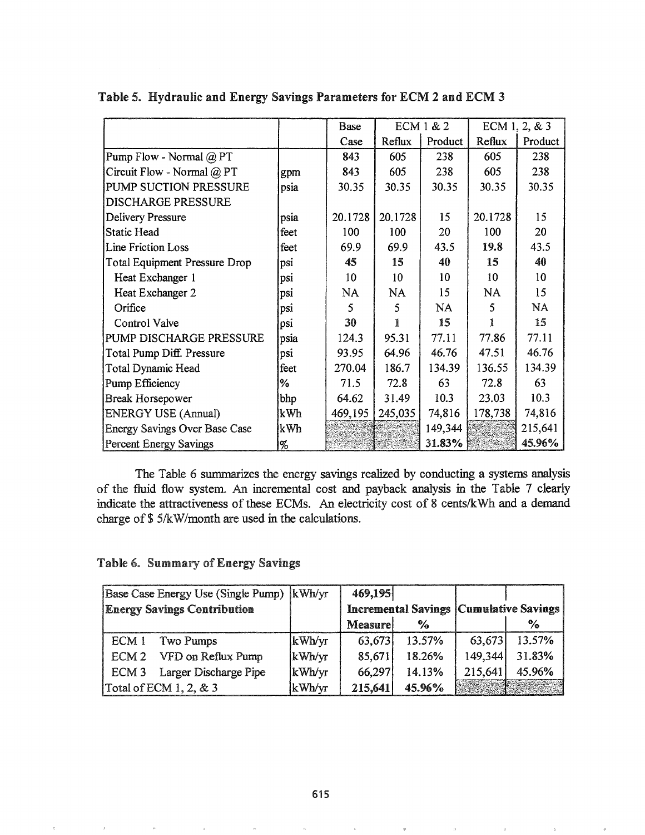|                               |      | Base    | ECM 1 & 2 |         |         | ECM 1, 2, & 3 |
|-------------------------------|------|---------|-----------|---------|---------|---------------|
|                               |      | Case    | Reflux    | Product | Reflux  | Product       |
| Pump Flow - Normal @ PT       |      | 843     | 605       | 238     | 605     | 238           |
| Circuit Flow - Normal @ PT    | gpm  | 843     | 605       | 238     | 605     | 238           |
| PUMP SUCTION PRESSURE         | psia | 30.35   | 30.35     | 30.35   | 30.35   | 30.35         |
| <b>DISCHARGE PRESSURE</b>     |      |         |           |         |         |               |
| <b>Delivery Pressure</b>      | psia | 20.1728 | 20.1728   | 15      | 20.1728 | 15            |
| <b>Static Head</b>            | feet | 100     | 100       | 20      | 100     | 20            |
| Line Friction Loss            | feet | 69.9    | 69.9      | 43.5    | 19.8    | 43.5          |
| Total Equipment Pressure Drop | psi  | 45      | 15        | 40      | 15      | 40            |
| Heat Exchanger 1              | psi  | 10      | 10        | 10      | 10      | 10            |
| Heat Exchanger 2              | psi  | NA      | NA        | 15      | NA      | 15            |
| Orifice                       | psi  | 5       | 5         | NA      | 5       | <b>NA</b>     |
| Control Valve                 | psi  | 30      | 1         | 15      | 1       | 15            |
| PUMP DISCHARGE PRESSURE       | psia | 124.3   | 95.31     | 77.11   | 77.86   | 77.11         |
| Total Pump Diff. Pressure     | psi  | 93.95   | 64.96     | 46.76   | 47.51   | 46.76         |
| <b>Total Dynamic Head</b>     | feet | 270.04  | 186.7     | 134.39  | 136.55  | 134.39        |
| Pump Efficiency               | %    | 71.5    | 72.8      | 63      | 72.8    | 63            |
| Break Horsepower              | bhp  | 64.62   | 31.49     | 10.3    | 23.03   | 10.3          |
| <b>ENERGY USE (Annual)</b>    | kWh  | 469,195 | 245,035   | 74,816  | 178,738 | 74,816        |
| Energy Savings Over Base Case | kWh  |         |           | 149,344 |         | 215,641       |
| Percent Energy Savings        | %    |         |           | 31.83%  |         | 45.96%        |

The Table 6 summarizes the energy savings realized by conducting a systems analysis of the fluid flow system. An incremental cost and payback analysis in the Table 7 clearly indicate the attractiveness of these ECMs. An electricity cost of 8 cents/kWh and a demand charge of \$5/kW/month are used in the calculations.

Table 6. Summary of Energy Savings

| Base Case Energy Use (Single Pump)  kWh/yr |        | 469,195                                         |               |         |        |
|--------------------------------------------|--------|-------------------------------------------------|---------------|---------|--------|
| <b>Energy Savings Contribution</b>         |        | <b>Incremental Savings   Cumulative Savings</b> |               |         |        |
|                                            |        | <b>Measure</b>                                  | $\frac{1}{2}$ |         | %      |
| ECM 1<br>Two Pumps                         | kWh/yr | 63,673                                          | 13.57%        | 63.673  | 13.57% |
| ECM 2 VFD on Reflux Pump                   | kWh/yr | 85,671                                          | 18.26%        | 149,344 | 31.83% |
| ECM 3 Larger Discharge Pipe                | kWh/yr | 66,297                                          | 14.13%        | 215,641 | 45.96% |
| Total of ECM $1, 2, \& 3$                  | kWh/yr | 215,641                                         | 45.96%        |         |        |